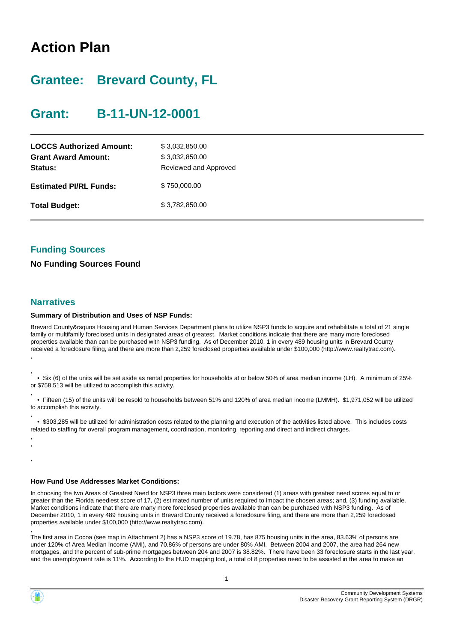# **Action Plan**

# **Grantee: Brevard County, FL**

# **Grant: B-11-UN-12-0001**

| <b>LOCCS Authorized Amount:</b><br><b>Grant Award Amount:</b><br>Status: | \$3,032,850.00<br>\$3,032,850.00<br>Reviewed and Approved |
|--------------------------------------------------------------------------|-----------------------------------------------------------|
| <b>Estimated PI/RL Funds:</b>                                            | \$750,000.00                                              |
| <b>Total Budget:</b>                                                     | \$3,782,850.00                                            |

### **Funding Sources**

**No Funding Sources Found**

### **Narratives**

#### **Summary of Distribution and Uses of NSP Funds:**

Brevard County&rsquos Housing and Human Services Department plans to utilize NSP3 funds to acquire and rehabilitate a total of 21 single family or multifamily foreclosed units in designated areas of greatest. Market conditions indicate that there are many more foreclosed properties available than can be purchased with NSP3 funding. As of December 2010, 1 in every 489 housing units in Brevard County received a foreclosure filing, and there are more than 2,259 foreclosed properties available under \$100,000 (http://www.realtytrac.com). ,

, • Six (6) of the units will be set aside as rental properties for households at or below 50% of area median income (LH). A minimum of 25% or \$758,513 will be utilized to accomplish this activity.

 • Fifteen (15) of the units will be resold to households between 51% and 120% of area median income (LMMH). \$1,971,052 will be utilized to accomplish this activity.

, • \$303,285 will be utilized for administration costs related to the planning and execution of the activities listed above. This includes costs related to staffing for overall program management, coordination, monitoring, reporting and direct and indirect charges.

, ,

,

,

,

#### **How Fund Use Addresses Market Conditions:**

In choosing the two Areas of Greatest Need for NSP3 three main factors were considered (1) areas with greatest need scores equal to or greater than the Florida neediest score of 17, (2) estimated number of units required to impact the chosen areas; and, (3) funding available. Market conditions indicate that there are many more foreclosed properties available than can be purchased with NSP3 funding. As of December 2010, 1 in every 489 housing units in Brevard County received a foreclosure filing, and there are more than 2,259 foreclosed properties available under \$100,000 (http://www.realtytrac.com).

The first area in Cocoa (see map in Attachment 2) has a NSP3 score of 19.78, has 875 housing units in the area, 83.63% of persons are under 120% of Area Median Income (AMI), and 70.86% of persons are under 80% AMI. Between 2004 and 2007, the area had 264 new mortgages, and the percent of sub-prime mortgages between 204 and 2007 is 38.82%. There have been 33 foreclosure starts in the last year, and the unemployment rate is 11%. According to the HUD mapping tool, a total of 8 properties need to be assisted in the area to make an

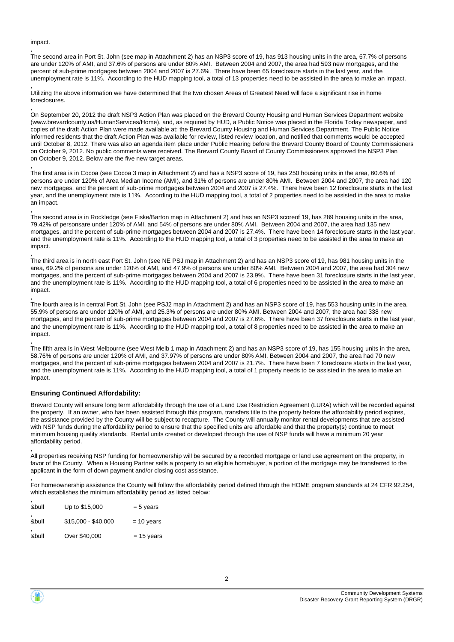impact.

,

,

,

, The second area in Port St. John (see map in Attachment 2) has an NSP3 score of 19, has 913 housing units in the area, 67.7% of persons are under 120% of AMI, and 37.6% of persons are under 80% AMI. Between 2004 and 2007, the area had 593 new mortgages, and the percent of sub-prime mortgages between 2004 and 2007 is 27.6%. There have been 65 foreclosure starts in the last year, and the unemployment rate is 11%. According to the HUD mapping tool, a total of 13 properties need to be assisted in the area to make an impact.

Utilizing the above information we have determined that the two chosen Areas of Greatest Need will face a significant rise in home foreclosures.

On September 20, 2012 the draft NSP3 Action Plan was placed on the Brevard County Housing and Human Services Department website (www.brevardcounty.us/HumanServices/Home), and, as required by HUD, a Public Notice was placed in the Florida Today newspaper, and copies of the draft Action Plan were made available at: the Brevard County Housing and Human Services Department. The Public Notice informed residents that the draft Action Plan was available for review, listed review location, and notified that comments would be accepted until October 8, 2012. There was also an agenda item place under Public Hearing before the Brevard County Board of County Commissioners on October 9, 2012. No public comments were received. The Brevard County Board of County Commissioners approved the NSP3 Plan on October 9, 2012. Below are the five new target areas.

The first area is in Cocoa (see Cocoa 3 map in Attachment 2) and has a NSP3 score of 19, has 250 housing units in the area, 60.6% of persons are under 120% of Area Median Income (AMI), and 31% of persons are under 80% AMI. Between 2004 and 2007, the area had 120 new mortgages, and the percent of sub-prime mortgages between 2004 and 2007 is 27.4%. There have been 12 foreclosure starts in the last year, and the unemployment rate is 11%. According to the HUD mapping tool, a total of 2 properties need to be assisted in the area to make an impact.

, The second area is in Rockledge (see Fiske/Barton map in Attachment 2) and has an NSP3 scoreof 19, has 289 housing units in the area, 79.42% of personsare under 120% of AMI, and 54% of persons are under 80% AMI. Between 2004 and 2007, the area had 135 new mortgages, and the percent of sub-prime mortgages between 2004 and 2007 is 27.4%. There have been 14 foreclosure starts in the last year. and the unemployment rate is 11%. According to the HUD mapping tool, a total of 3 properties need to be assisted in the area to make an impact.

, The third area is in north east Port St. John (see NE PSJ map in Attachment 2) and has an NSP3 score of 19, has 981 housing units in the area, 69.2% of persons are under 120% of AMI, and 47.9% of persons are under 80% AMI. Between 2004 and 2007, the area had 304 new mortgages, and the percent of sub-prime mortgages between 2004 and 2007 is 23.9%. There have been 31 foreclosure starts in the last year, and the unemployment rate is 11%. According to the HUD mapping tool, a total of 6 properties need to be assisted in the area to make an impact.

, The fourth area is in central Port St. John (see PSJ2 map in Attachment 2) and has an NSP3 score of 19, has 553 housing units in the area, 55.9% of persons are under 120% of AMI, and 25.3% of persons are under 80% AMI. Between 2004 and 2007, the area had 338 new mortgages, and the percent of sub-prime mortgages between 2004 and 2007 is 27.6%. There have been 37 foreclosure starts in the last year, and the unemployment rate is 11%. According to the HUD mapping tool, a total of 8 properties need to be assisted in the area to make an impact.

, The fifth area is in West Melbourne (see West Melb 1 map in Attachment 2) and has an NSP3 score of 19, has 155 housing units in the area, 58.76% of persons are under 120% of AMI, and 37.97% of persons are under 80% AMI. Between 2004 and 2007, the area had 70 new mortgages, and the percent of sub-prime mortgages between 2004 and 2007 is 21.7%. There have been 7 foreclosure starts in the last year, and the unemployment rate is 11%. According to the HUD mapping tool, a total of 1 property needs to be assisted in the area to make an impact.

#### **Ensuring Continued Affordability:**

Brevard County will ensure long term affordability through the use of a Land Use Restriction Agreement (LURA) which will be recorded against the property. If an owner, who has been assisted through this program, transfers title to the property before the affordability period expires, the assistance provided by the County will be subject to recapture. The County will annually monitor rental developments that are assisted with NSP funds during the affordability period to ensure that the specified units are affordable and that the property(s) continue to meet minimum housing quality standards. Rental units created or developed through the use of NSP funds will have a minimum 20 year affordability period.

All properties receiving NSP funding for homeownership will be secured by a recorded mortgage or land use agreement on the property, in favor of the County. When a Housing Partner sells a property to an eligible homebuyer, a portion of the mortgage may be transferred to the applicant in the form of down payment and/or closing cost assistance.

, For homeownership assistance the County will follow the affordability period defined through the HOME program standards at 24 CFR 92.254, which establishes the minimum affordability period as listed below:

| • | Up to \$15,000      | $= 5$ years  |
|---|---------------------|--------------|
| • | \$15,000 - \$40,000 | $= 10$ years |
| • | Over \$40,000       | $= 15$ years |



,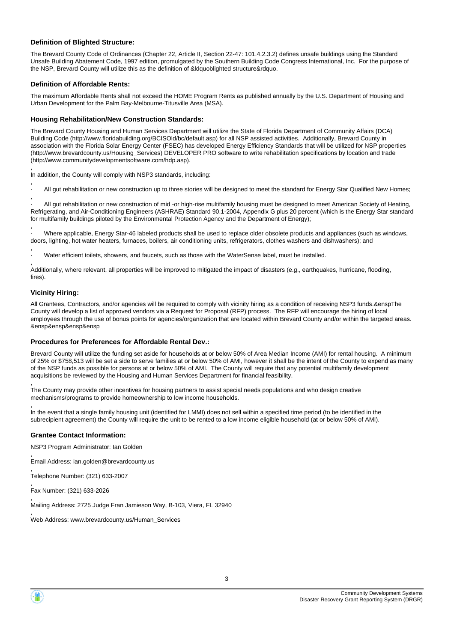#### **Definition of Blighted Structure:**

The Brevard County Code of Ordinances (Chapter 22, Article II, Section 22-47: 101.4.2.3.2) defines unsafe buildings using the Standard Unsafe Building Abatement Code, 1997 edition, promulgated by the Southern Building Code Congress International, Inc. For the purpose of the NSP, Brevard County will utilize this as the definition of &ldquoblighted structure&rdquo.

#### **Definition of Affordable Rents:**

The maximum Affordable Rents shall not exceed the HOME Program Rents as published annually by the U.S. Department of Housing and Urban Development for the Palm Bay-Melbourne-Titusville Area (MSA).

#### **Housing Rehabilitation/New Construction Standards:**

The Brevard County Housing and Human Services Department will utilize the State of Florida Department of Community Affairs (DCA) Building Code (http://www.floridabuilding.org/BCISOld/bc/default.asp) for all NSP assisted activities. Additionally, Brevard County in association with the Florida Solar Energy Center (FSEC) has developed Energy Efficiency Standards that will be utilized for NSP properties (http://www.brevardcounty.us/Housing\_Services) DEVELOPER PRO software to write rehabilitation specifications by location and trade (http://www.communitydevelopmentsoftware.com/hdp.asp).

, In addition, the County will comply with NSP3 standards, including:

, All gut rehabilitation or new construction up to three stories will be designed to meet the standard for Energy Star Qualified New Homes;

, · All gut rehabilitation or new construction of mid -or high-rise multifamily housing must be designed to meet American Society of Heating, Refrigerating, and Air-Conditioning Engineers (ASHRAE) Standard 90.1-2004, Appendix G plus 20 percent (which is the Energy Star standard for multifamily buildings piloted by the Environmental Protection Agency and the Department of Energy);

, · Where applicable, Energy Star-46 labeled products shall be used to replace older obsolete products and appliances (such as windows, doors, lighting, hot water heaters, furnaces, boilers, air conditioning units, refrigerators, clothes washers and dishwashers); and

, · Water efficient toilets, showers, and faucets, such as those with the WaterSense label, must be installed.

, Additionally, where relevant, all properties will be improved to mitigated the impact of disasters (e.g., earthquakes, hurricane, flooding, fires).

#### **Vicinity Hiring:**

,

,

All Grantees, Contractors, and/or agencies will be required to comply with vicinity hiring as a condition of receiving NSP3 funds.&enspThe County will develop a list of approved vendors via a Request for Proposal (RFP) process. The RFP will encourage the hiring of local employees through the use of bonus points for agencies/organization that are located within Brevard County and/or within the targeted areas. &ensp&ensp&ensp&ensp

#### **Procedures for Preferences for Affordable Rental Dev.:**

Brevard County will utilize the funding set aside for households at or below 50% of Area Median Income (AMI) for rental housing. A minimum of 25% or \$758,513 will be set a side to serve families at or below 50% of AMI, however it shall be the intent of the County to expend as many of the NSP funds as possible for persons at or below 50% of AMI. The County will require that any potential multifamily development acquisitions be reviewed by the Housing and Human Services Department for financial feasibility.

The County may provide other incentives for housing partners to assist special needs populations and who design creative mechanisms/programs to provide homeownership to low income households.

, In the event that a single family housing unit (identified for LMMI) does not sell within a specified time period (to be identified in the subrecipient agreement) the County will require the unit to be rented to a low income eligible household (at or below 50% of AMI).

#### **Grantee Contact Information:**

NSP3 Program Administrator: Ian Golden

, Email Address: ian.golden@brevardcounty.us

, Telephone Number: (321) 633-2007

, Fax Number: (321) 633-2026

Mailing Address: 2725 Judge Fran Jamieson Way, B-103, Viera, FL 32940

, Web Address: www.brevardcounty.us/Human\_Services

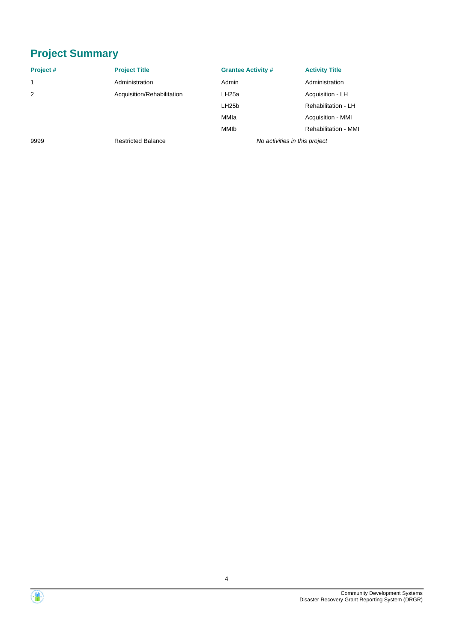# **Project Summary**

| Project#     | <b>Project Title</b>       | <b>Grantee Activity #</b>     | <b>Activity Title</b>       |
|--------------|----------------------------|-------------------------------|-----------------------------|
| $\mathbf{1}$ | Administration             | Admin                         | Administration              |
| 2            | Acquisition/Rehabilitation | LH <sub>25a</sub>             | Acquisition - LH            |
|              |                            | LH <sub>25</sub> b            | Rehabilitation - LH         |
|              |                            | MMIa                          | Acquisition - MMI           |
|              |                            | <b>MMIb</b>                   | <b>Rehabilitation - MMI</b> |
| 9999         | <b>Restricted Balance</b>  | No activities in this project |                             |

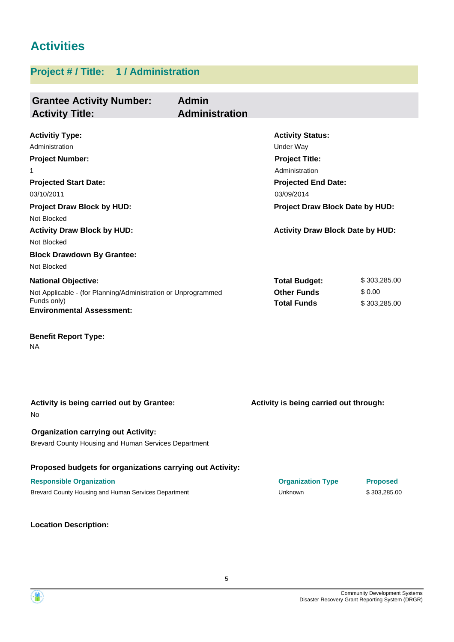# **Activities**

### **Project # / Title: 1 / Administration**

| <b>Grantee Activity Number:</b>                               | <b>Admin</b>          |                                         |                 |
|---------------------------------------------------------------|-----------------------|-----------------------------------------|-----------------|
| <b>Activity Title:</b>                                        | <b>Administration</b> |                                         |                 |
|                                                               |                       |                                         |                 |
| <b>Activitiy Type:</b><br>Administration                      |                       | <b>Activity Status:</b><br>Under Way    |                 |
| <b>Project Number:</b>                                        |                       | <b>Project Title:</b>                   |                 |
| 1                                                             |                       | Administration                          |                 |
| <b>Projected Start Date:</b>                                  |                       | <b>Projected End Date:</b>              |                 |
| 03/10/2011                                                    |                       | 03/09/2014                              |                 |
| <b>Project Draw Block by HUD:</b>                             |                       | <b>Project Draw Block Date by HUD:</b>  |                 |
| Not Blocked                                                   |                       |                                         |                 |
| <b>Activity Draw Block by HUD:</b>                            |                       | <b>Activity Draw Block Date by HUD:</b> |                 |
| Not Blocked                                                   |                       |                                         |                 |
| <b>Block Drawdown By Grantee:</b>                             |                       |                                         |                 |
| Not Blocked                                                   |                       |                                         |                 |
| <b>National Objective:</b>                                    |                       | <b>Total Budget:</b>                    | \$303,285.00    |
| Not Applicable - (for Planning/Administration or Unprogrammed |                       | <b>Other Funds</b>                      | \$0.00          |
| Funds only)                                                   |                       | <b>Total Funds</b>                      | \$303,285.00    |
| <b>Environmental Assessment:</b>                              |                       |                                         |                 |
| <b>Benefit Report Type:</b>                                   |                       |                                         |                 |
| NA                                                            |                       |                                         |                 |
|                                                               |                       |                                         |                 |
| Activity is being carried out by Grantee:<br>No               |                       | Activity is being carried out through:  |                 |
| <b>Organization carrying out Activity:</b>                    |                       |                                         |                 |
| Brevard County Housing and Human Services Department          |                       |                                         |                 |
| Proposed budgets for organizations carrying out Activity:     |                       |                                         |                 |
| <b>Responsible Organization</b>                               |                       | <b>Organization Type</b>                | <b>Proposed</b> |
| Brevard County Housing and Human Services Department          |                       | Unknown                                 | \$303,285.00    |

**Location Description:**

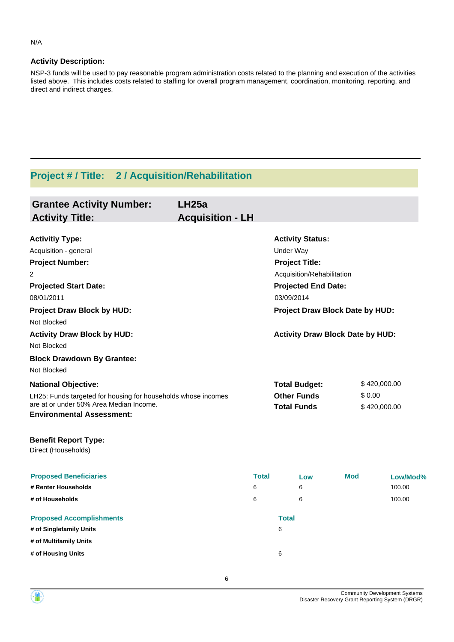#### **Activity Description:**

NSP-3 funds will be used to pay reasonable program administration costs related to the planning and execution of the activities listed above. This includes costs related to staffing for overall program management, coordination, monitoring, reporting, and direct and indirect charges.

### **Project # / Title: 2 / Acquisition/Rehabilitation**

| <b>Grantee Activity Number:</b><br><b>Activity Title:</b>     | LH25a<br><b>Acquisition - LH</b> |                                         |            |              |
|---------------------------------------------------------------|----------------------------------|-----------------------------------------|------------|--------------|
| <b>Activitiy Type:</b>                                        |                                  | <b>Activity Status:</b>                 |            |              |
| Acquisition - general                                         |                                  | <b>Under Way</b>                        |            |              |
| <b>Project Number:</b>                                        |                                  | <b>Project Title:</b>                   |            |              |
| 2                                                             |                                  | Acquisition/Rehabilitation              |            |              |
| <b>Projected Start Date:</b>                                  |                                  | <b>Projected End Date:</b>              |            |              |
| 08/01/2011                                                    |                                  | 03/09/2014                              |            |              |
| Project Draw Block by HUD:                                    |                                  | Project Draw Block Date by HUD:         |            |              |
| Not Blocked                                                   |                                  |                                         |            |              |
| <b>Activity Draw Block by HUD:</b>                            |                                  | <b>Activity Draw Block Date by HUD:</b> |            |              |
| Not Blocked                                                   |                                  |                                         |            |              |
| <b>Block Drawdown By Grantee:</b>                             |                                  |                                         |            |              |
| Not Blocked                                                   |                                  |                                         |            |              |
| <b>National Objective:</b>                                    |                                  | <b>Total Budget:</b>                    |            | \$420,000.00 |
| LH25: Funds targeted for housing for households whose incomes |                                  | <b>Other Funds</b>                      | \$0.00     |              |
| are at or under 50% Area Median Income.                       |                                  | <b>Total Funds</b>                      |            | \$420,000.00 |
| <b>Environmental Assessment:</b>                              |                                  |                                         |            |              |
| <b>Benefit Report Type:</b><br>Direct (Households)            |                                  |                                         |            |              |
| <b>Proposed Beneficiaries</b>                                 | <b>Total</b>                     | Low                                     | <b>Mod</b> | Low/Mod%     |
| # Renter Households                                           | 6                                | 6                                       |            | 100.00       |
| # of Households                                               | 6                                | 6                                       |            | 100.00       |
| <b>Proposed Accomplishments</b>                               |                                  | <b>Total</b>                            |            |              |
| # of Singlefamily Units                                       |                                  | 6                                       |            |              |
| # of Multifamily Units                                        |                                  |                                         |            |              |
| # of Housing Units                                            |                                  | 6                                       |            |              |



N/A

 $\langle \mathbf{m} \rangle$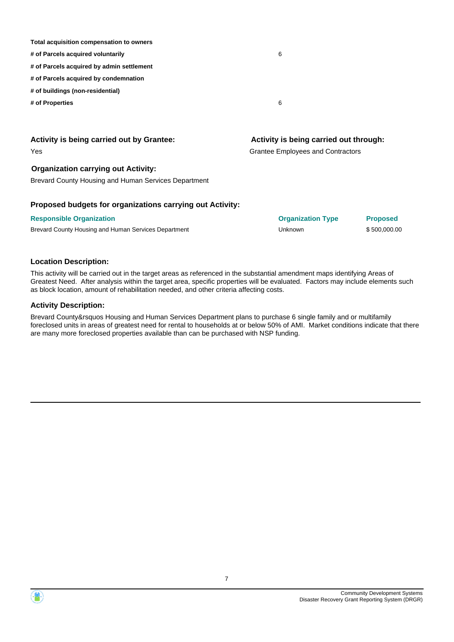| <b>Activity is being carried out by Grantee:</b> | Activity is being carried out through: |
|--------------------------------------------------|----------------------------------------|
| # of Properties                                  | 6                                      |
| # of buildings (non-residential)                 |                                        |
| # of Parcels acquired by condemnation            |                                        |
| # of Parcels acquired by admin settlement        |                                        |
| # of Parcels acquired voluntarily                | 6                                      |
| Total acquisition compensation to owners         |                                        |
|                                                  |                                        |

| Yes                                                              | Grantee Employees and Contractors |
|------------------------------------------------------------------|-----------------------------------|
| <b>Organization carrying out Activity:</b>                       |                                   |
| Brevard County Housing and Human Services Department             |                                   |
| <b>Droposod budgets for organizations carrying out Activity.</b> |                                   |

#### **Proposed budgets for organizations carrying out Activity:**

|  |  | Responsible Organization |  |  |
|--|--|--------------------------|--|--|
|  |  |                          |  |  |

**Responsible Organization Organization Type Proposed** Brevard County Housing and Human Services Department **Network County State County Act 10** S500,000.00

#### **Location Description:**

This activity will be carried out in the target areas as referenced in the substantial amendment maps identifying Areas of Greatest Need. After analysis within the target area, specific properties will be evaluated. Factors may include elements such as block location, amount of rehabilitation needed, and other criteria affecting costs.

#### **Activity Description:**

Brevard County&rsquos Housing and Human Services Department plans to purchase 6 single family and or multifamily foreclosed units in areas of greatest need for rental to households at or below 50% of AMI. Market conditions indicate that there are many more foreclosed properties available than can be purchased with NSP funding.

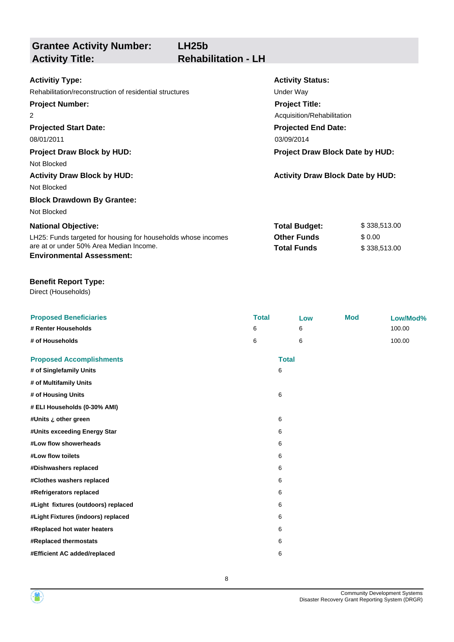**Grantee Activity Number: Projected Start Date:** LH25: Funds targeted for housing for households whose incomes are at or under 50% Area Median Income. **National Objective: Activity Status: Projected End Date: LH25b Activitiy Type:** 08/01/2011 03/09/2014 03/09/2014 Rehabilitation/reconstruction of residential structures **Exercise 2018** Under Way **Activity Title: Rehabilitation - LH Project Number:** 2 **Project Title:** Acquisition/Rehabilitation **Total Budget:** \$ 338,513.00 **Other Funds** \$ 0.00 **Total Funds** \$ 338,513.00 **Environmental Assessment: Project Draw Block by HUD: Project Draw Block Date by HUD:** Not Blocked **Activity Draw Block by HUD: Activity Draw Block Date by HUD:** Not Blocked **Block Drawdown By Grantee:** Not Blocked

#### **Benefit Report Type:**

Direct (Households)

| <b>Proposed Beneficiaries</b>       | <b>Total</b> |              | Low | <b>Mod</b> | Low/Mod% |
|-------------------------------------|--------------|--------------|-----|------------|----------|
| # Renter Households                 | 6            |              | 6   |            | 100.00   |
| # of Households                     | 6            |              | 6   |            | 100.00   |
| <b>Proposed Accomplishments</b>     |              | <b>Total</b> |     |            |          |
| # of Singlefamily Units             |              | 6            |     |            |          |
| # of Multifamily Units              |              |              |     |            |          |
| # of Housing Units                  |              | 6            |     |            |          |
| # ELI Households (0-30% AMI)        |              |              |     |            |          |
| #Units ¿ other green                |              | 6            |     |            |          |
| #Units exceeding Energy Star        |              | 6            |     |            |          |
| #Low flow showerheads               |              | 6            |     |            |          |
| #Low flow toilets                   |              | 6            |     |            |          |
| #Dishwashers replaced               |              | 6            |     |            |          |
| #Clothes washers replaced           |              | 6            |     |            |          |
| #Refrigerators replaced             |              | 6            |     |            |          |
| #Light fixtures (outdoors) replaced |              | 6            |     |            |          |
| #Light Fixtures (indoors) replaced  |              | 6            |     |            |          |
| #Replaced hot water heaters         |              | 6            |     |            |          |
| #Replaced thermostats               |              | 6            |     |            |          |
| #Efficient AC added/replaced        |              | 6            |     |            |          |
|                                     |              |              |     |            |          |

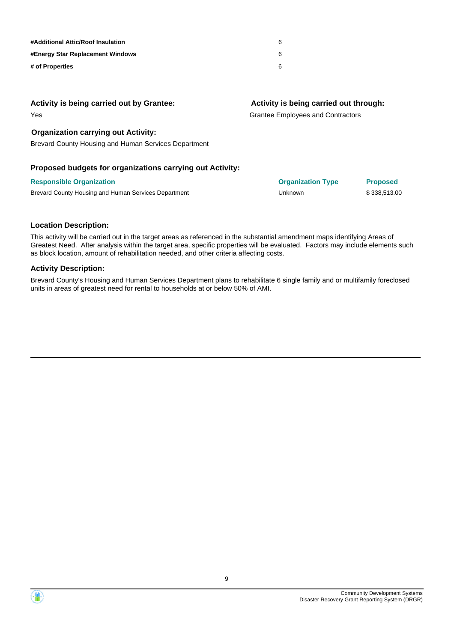| #Additional Attic/Roof Insulation       | 6 |
|-----------------------------------------|---|
| <b>#Energy Star Replacement Windows</b> | 6 |
| # of Properties                         | 6 |

#### **Activity is being carried out by Grantee:**

Yes

#### **Organization carrying out Activity:**

Brevard County Housing and Human Services Department

#### **Proposed budgets for organizations carrying out Activity:**

| <b>Responsible Organization</b>                      | <b>Organization Type</b> | <b>Proposed</b> |
|------------------------------------------------------|--------------------------|-----------------|
| Brevard County Housing and Human Services Department | Unknown                  | \$338,513.00    |

**Activity is being carried out through:**

**Responsible Organization Organization Type Proposed**

Grantee Employees and Contractors

# **Location Description:**

This activity will be carried out in the target areas as referenced in the substantial amendment maps identifying Areas of Greatest Need. After analysis within the target area, specific properties will be evaluated. Factors may include elements such as block location, amount of rehabilitation needed, and other criteria affecting costs.

#### **Activity Description:**

Brevard County's Housing and Human Services Department plans to rehabilitate 6 single family and or multifamily foreclosed units in areas of greatest need for rental to households at or below 50% of AMI.

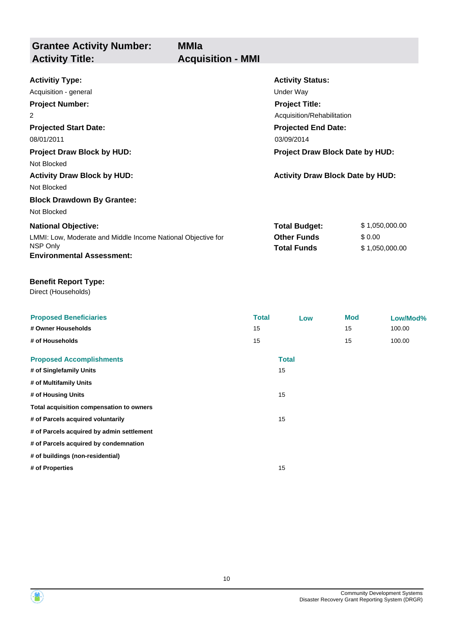**Grantee Activity Number: MMIa Activity Title: Acquisition - MMI**

| <b>Activitiy Type:</b>                                       | <b>Activity Status:</b>                 |                |  |
|--------------------------------------------------------------|-----------------------------------------|----------------|--|
| Acquisition - general                                        | Under Way                               |                |  |
| <b>Project Number:</b>                                       | <b>Project Title:</b>                   |                |  |
| 2                                                            | Acquisition/Rehabilitation              |                |  |
| <b>Projected Start Date:</b>                                 | <b>Projected End Date:</b>              |                |  |
| 08/01/2011                                                   | 03/09/2014                              |                |  |
| <b>Project Draw Block by HUD:</b>                            | Project Draw Block Date by HUD:         |                |  |
| Not Blocked                                                  |                                         |                |  |
| <b>Activity Draw Block by HUD:</b>                           | <b>Activity Draw Block Date by HUD:</b> |                |  |
| Not Blocked                                                  |                                         |                |  |
| <b>Block Drawdown By Grantee:</b>                            |                                         |                |  |
| Not Blocked                                                  |                                         |                |  |
| <b>National Objective:</b>                                   | <b>Total Budget:</b>                    | \$1,050,000.00 |  |
| LMMI: Low, Moderate and Middle Income National Objective for | <b>Other Funds</b>                      | \$0.00         |  |
| NSP Only                                                     | <b>Total Funds</b>                      | \$1,050,000.00 |  |
| <b>Environmental Assessment:</b>                             |                                         |                |  |

#### **Benefit Report Type:**

Direct (Households)

| <b>Total</b> | Low          | <b>Mod</b> | Low/Mod% |
|--------------|--------------|------------|----------|
| 15           |              | 15         | 100.00   |
| 15           |              | 15         | 100.00   |
|              | <b>Total</b> |            |          |
|              | 15           |            |          |
|              |              |            |          |
|              | 15           |            |          |
|              |              |            |          |
|              | 15           |            |          |
|              |              |            |          |
|              |              |            |          |
|              |              |            |          |
|              | 15           |            |          |
|              |              |            |          |

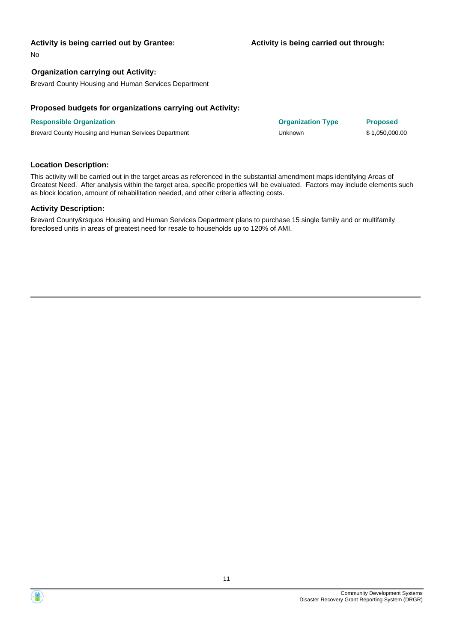#### **Activity is being carried out by Grantee:**

No

#### **Organization carrying out Activity:**

Brevard County Housing and Human Services Department

#### **Proposed budgets for organizations carrying out Activity:**

**Responsible Organization Organization Type Proposed** Brevard County Housing and Human Services Department County 1,050,000.00

#### **Location Description:**

This activity will be carried out in the target areas as referenced in the substantial amendment maps identifying Areas of Greatest Need. After analysis within the target area, specific properties will be evaluated. Factors may include elements such as block location, amount of rehabilitation needed, and other criteria affecting costs.

#### **Activity Description:**

Brevard County&rsquos Housing and Human Services Department plans to purchase 15 single family and or multifamily foreclosed units in areas of greatest need for resale to households up to 120% of AMI.



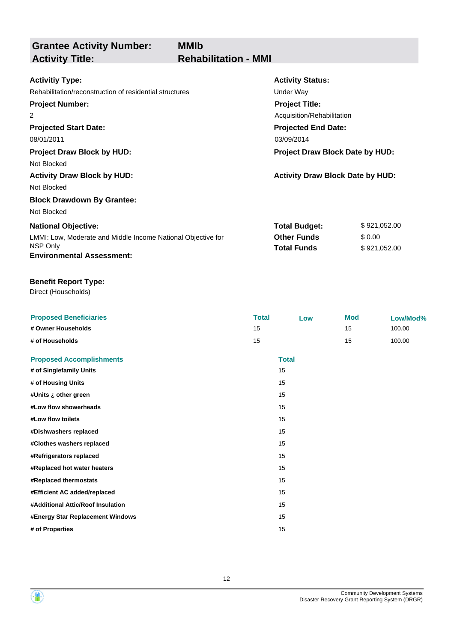**Grantee Activity Number: Projected Start Date:** LMMI: Low, Moderate and Middle Income National Objective for NSP Only **National Objective: Activity Status: Projected End Date: MMIb Activitiy Type:** 08/01/2011 03/09/2014 03/09/2014 Rehabilitation/reconstruction of residential structures **Exercise 2018** Under Way **Activity Title: Rehabilitation - MMI Project Number:** 2 **Project Title:** Acquisition/Rehabilitation **Total Budget:** \$ 921,052.00 **Other Funds** \$ 0.00 **Total Funds**  $$ 921,052.00$ **Environmental Assessment: Project Draw Block by HUD: Project Draw Block Date by HUD:** Not Blocked **Activity Draw Block by HUD: Activity Draw Block Date by HUD:** Not Blocked **Block Drawdown By Grantee:** Not Blocked

#### **Benefit Report Type:**

Direct (Households)

| <b>Proposed Beneficiaries</b><br># Owner Households<br># of Households | <b>Total</b><br>15<br>15 | Low                | <b>Mod</b><br>15<br>15 | Low/Mod%<br>100.00<br>100.00 |
|------------------------------------------------------------------------|--------------------------|--------------------|------------------------|------------------------------|
| <b>Proposed Accomplishments</b><br># of Singlefamily Units             |                          | <b>Total</b><br>15 |                        |                              |
| # of Housing Units                                                     |                          | 15                 |                        |                              |
| #Units ¿ other green<br>#Low flow showerheads                          |                          | 15<br>15           |                        |                              |
| #Low flow toilets<br>#Dishwashers replaced                             |                          | 15<br>15           |                        |                              |
| #Clothes washers replaced                                              |                          | 15<br>15           |                        |                              |
| #Refrigerators replaced<br>#Replaced hot water heaters                 |                          | 15                 |                        |                              |
| #Replaced thermostats<br>#Efficient AC added/replaced                  |                          | 15<br>15           |                        |                              |
| #Additional Attic/Roof Insulation<br>#Energy Star Replacement Windows  |                          | 15<br>15           |                        |                              |
| # of Properties                                                        |                          | 15                 |                        |                              |

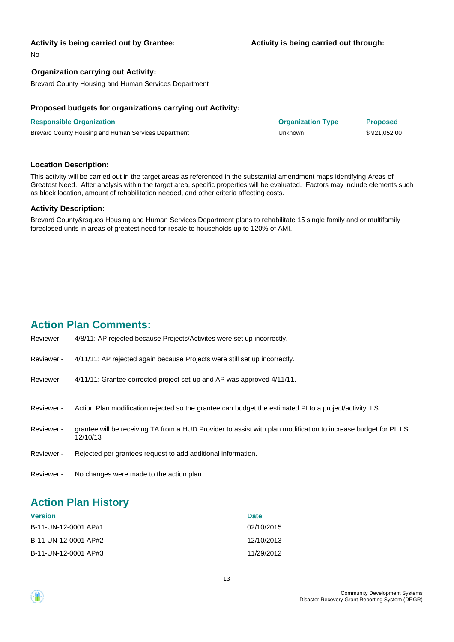#### **Activity is being carried out by Grantee:**

No

#### **Organization carrying out Activity:**

Brevard County Housing and Human Services Department

#### **Proposed budgets for organizations carrying out Activity:**

| <b>Responsible Organization</b>                      | <b>Organization Type</b> | <b>Proposed</b> |
|------------------------------------------------------|--------------------------|-----------------|
| Brevard County Housing and Human Services Department | Unknown                  | \$921.052.00    |

#### **Location Description:**

This activity will be carried out in the target areas as referenced in the substantial amendment maps identifying Areas of Greatest Need. After analysis within the target area, specific properties will be evaluated. Factors may include elements such as block location, amount of rehabilitation needed, and other criteria affecting costs.

#### **Activity Description:**

Brevard County&rsquos Housing and Human Services Department plans to rehabilitate 15 single family and or multifamily foreclosed units in areas of greatest need for resale to households up to 120% of AMI.

### **Action Plan Comments:**

| Reviewer - | 4/8/11: AP rejected because Projects/Activites were set up incorrectly.                                                     |
|------------|-----------------------------------------------------------------------------------------------------------------------------|
| Reviewer - | 4/11/11: AP rejected again because Projects were still set up incorrectly.                                                  |
| Reviewer - | 4/11/11: Grantee corrected project set-up and AP was approved 4/11/11.                                                      |
| Reviewer - | Action Plan modification rejected so the grantee can budget the estimated PI to a project/activity. LS                      |
| Reviewer - | grantee will be receiving TA from a HUD Provider to assist with plan modification to increase budget for PI. LS<br>12/10/13 |
| Reviewer - | Rejected per grantees request to add additional information.                                                                |
| Reviewer - | No changes were made to the action plan.                                                                                    |

### **Action Plan History**

| <b>Version</b>       | <b>Date</b> |
|----------------------|-------------|
| B-11-UN-12-0001 AP#1 | 02/10/2015  |
| B-11-UN-12-0001 AP#2 | 12/10/2013  |
| B-11-UN-12-0001 AP#3 | 11/29/2012  |